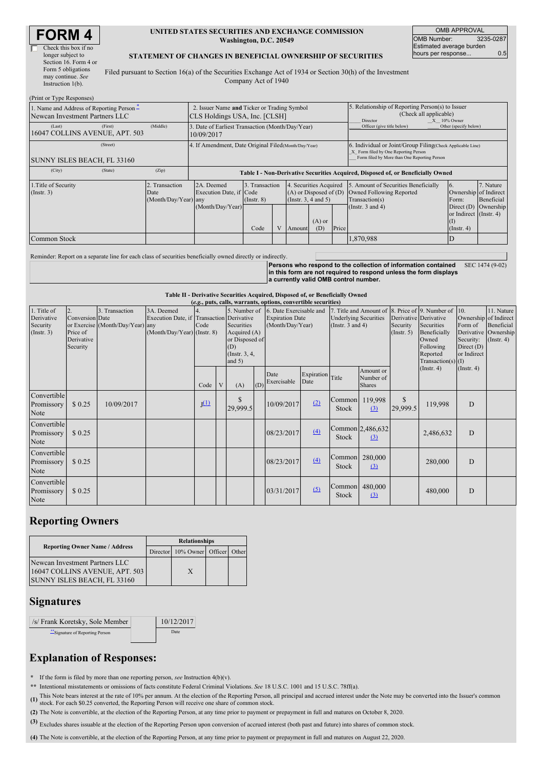| RM                   |  |
|----------------------|--|
| Check this box if no |  |

| Check this box if no  |  |  |  |  |  |
|-----------------------|--|--|--|--|--|
| longer subject to     |  |  |  |  |  |
| Section 16. Form 4 or |  |  |  |  |  |
| Form 5 obligations    |  |  |  |  |  |
| may continue. See     |  |  |  |  |  |
| Instruction $1(b)$ .  |  |  |  |  |  |

#### **UNITED STATES SECURITIES AND EXCHANGE COMMISSION Washington, D.C. 20549**

OMB APPROVAL OMB Number: 3235-0287 Estimated average burden hours per response... 0.5

#### **STATEMENT OF CHANGES IN BENEFICIAL OWNERSHIP OF SECURITIES**

Filed pursuant to Section 16(a) of the Securities Exchange Act of 1934 or Section 30(h) of the Investment Company Act of 1940

| (Print or Type Responses)                                                           |                                                |                                                                                                                                                                                                         |  |  |  |                                                                                                                                    |                                                                                                                                                    |                                                                                                            |   |  |  |  |
|-------------------------------------------------------------------------------------|------------------------------------------------|---------------------------------------------------------------------------------------------------------------------------------------------------------------------------------------------------------|--|--|--|------------------------------------------------------------------------------------------------------------------------------------|----------------------------------------------------------------------------------------------------------------------------------------------------|------------------------------------------------------------------------------------------------------------|---|--|--|--|
| 1. Name and Address of Reporting Person $\hat{-}$<br>Newcan Investment Partners LLC |                                                | 2. Issuer Name and Ticker or Trading Symbol<br>CLS Holdings USA, Inc. [CLSH]                                                                                                                            |  |  |  |                                                                                                                                    |                                                                                                                                                    | 5. Relationship of Reporting Person(s) to Issuer<br>(Check all applicable)<br>$X = 10\%$ Owner<br>Director |   |  |  |  |
| (Last)<br>(First)<br>16047 COLLINS AVENUE, APT. 503                                 | (Middle)                                       | Other (specify below)<br>3. Date of Earliest Transaction (Month/Day/Year)<br>Officer (give title below)<br>10/09/2017                                                                                   |  |  |  |                                                                                                                                    |                                                                                                                                                    |                                                                                                            |   |  |  |  |
| (Street)<br>SUNNY ISLES BEACH, FL 33160                                             |                                                | 4. If Amendment, Date Original Filed (Month/Day/Year)                                                                                                                                                   |  |  |  |                                                                                                                                    | 6. Individual or Joint/Group Filing(Check Applicable Line)<br>X Form filed by One Reporting Person<br>Form filed by More than One Reporting Person |                                                                                                            |   |  |  |  |
| (City)<br>(State)                                                                   | (Zip)                                          | Table I - Non-Derivative Securities Acquired, Disposed of, or Beneficially Owned                                                                                                                        |  |  |  |                                                                                                                                    |                                                                                                                                                    |                                                                                                            |   |  |  |  |
| 1. Title of Security<br>$($ Instr. 3 $)$                                            | 2. Transaction<br>Date<br>(Month/Day/Year) any | 2A. Deemed<br>3. Transaction<br>$(A)$ or Disposed of $(D)$<br>Execution Date, if Code<br>$($ Instr. 3, 4 and 5 $)$<br>$($ Instr. $8)$<br>(Month/Day/Year)<br>$(A)$ or<br>Price<br>(D)<br>Code<br>Amount |  |  |  | 4. Securities Acquired 5. Amount of Securities Beneficially<br>Owned Following Reported<br>Transaction(s)<br>(Instr. $3$ and $4$ ) | 6.<br>Ownership of Indirect<br>Form:<br>Direct $(D)$<br>or Indirect $($ Instr. 4 $)$<br>(I)<br>$($ Instr. 4 $)$                                    | 7. Nature<br>Beneficial<br>Ownership                                                                       |   |  |  |  |
| Common Stock                                                                        |                                                |                                                                                                                                                                                                         |  |  |  |                                                                                                                                    |                                                                                                                                                    | 1,870,988                                                                                                  | D |  |  |  |

Reminder: Report on a separate line for each class of securities beneficially owned directly or indirectly. **Persons who respond to the collection of information contained in this form are not required to respond unless the form displays a currently valid OMB control number.** SEC 1474 (9-02)

**Table II - Derivative Securities Acquired, Disposed of, or Beneficially Owned**

| (e.g., puts, calls, warrants, options, convertible securities) |                                                             |                                                    |                                                                                        |                    |   |                                                                                                    |     |                                                                       |                    |                                                                                                          |                                         |                                                    |                                                                                      |                                                          |                                                                                               |
|----------------------------------------------------------------|-------------------------------------------------------------|----------------------------------------------------|----------------------------------------------------------------------------------------|--------------------|---|----------------------------------------------------------------------------------------------------|-----|-----------------------------------------------------------------------|--------------------|----------------------------------------------------------------------------------------------------------|-----------------------------------------|----------------------------------------------------|--------------------------------------------------------------------------------------|----------------------------------------------------------|-----------------------------------------------------------------------------------------------|
| 1. Title of<br>Derivative<br>Security<br>(Insert. 3)           | 2.<br>Conversion Date<br>Price of<br>Derivative<br>Security | 3. Transaction<br>or Exercise (Month/Day/Year) any | 3A. Deemed<br>Execution Date, if Transaction Derivative<br>(Month/Day/Year) (Instr. 8) | Code               |   | 5. Number of<br>Securities<br>Acquired $(A)$<br>or Disposed of<br>(D)<br>(Instr. 3, 4,<br>and $5)$ |     | 6. Date Exercisable and<br><b>Expiration Date</b><br>(Month/Day/Year) |                    | 7. Title and Amount of 8. Price of 9. Number of<br><b>Underlying Securities</b><br>(Instr. $3$ and $4$ ) |                                         | Derivative Derivative<br>Security<br>$($ Instr. 5) | Securities<br>Beneficially<br>Owned<br>Following<br>Reported<br>Transaction(s) $(I)$ | 10.<br>Form of<br>Security:<br>Direct (D)<br>or Indirect | 11. Nature<br>Ownership of Indirect<br>Beneficial<br>Derivative Ownership<br>$($ Instr. 4 $)$ |
|                                                                |                                                             |                                                    |                                                                                        | Code               | V | (A)                                                                                                | (D) | Date<br>Exercisable                                                   | Expiration<br>Date | Title                                                                                                    | Amount or<br>Number of<br><b>Shares</b> |                                                    | $($ Instr. 4 $)$                                                                     | $($ Instr. 4 $)$                                         |                                                                                               |
| Convertible<br>Promissory<br>Note                              | \$0.25                                                      | 10/09/2017                                         |                                                                                        | $\mathbf{I}^{(1)}$ |   | \$<br>29,999.5                                                                                     |     | 10/09/2017                                                            | (2)                | Common 119,998<br>Stock                                                                                  | $\Omega$                                | <sup>\$</sup><br>29,999.5                          | 119,998                                                                              | D                                                        |                                                                                               |
| Convertible<br>Promissory<br>Note                              | \$0.25                                                      |                                                    |                                                                                        |                    |   |                                                                                                    |     | 08/23/2017                                                            | (4)                | Stock                                                                                                    | Common 2,486,632<br>(3)                 |                                                    | 2,486,632                                                                            | D                                                        |                                                                                               |
| Convertible<br>Promissory<br>Note                              | \$0.25                                                      |                                                    |                                                                                        |                    |   |                                                                                                    |     | 08/23/2017                                                            | (4)                | Common<br>Stock                                                                                          | 280,000<br>$\Omega$                     |                                                    | 280,000                                                                              | D                                                        |                                                                                               |
| Convertible<br>Promissory<br>Note                              | \$0.25                                                      |                                                    |                                                                                        |                    |   |                                                                                                    |     | 03/31/2017                                                            | (5)                | Common<br>Stock                                                                                          | 480,000<br>$\Omega$                     |                                                    | 480,000                                                                              | D                                                        |                                                                                               |

## **Reporting Owners**

|                                                                                                 | <b>Relationships</b> |                                  |  |  |  |  |  |  |
|-------------------------------------------------------------------------------------------------|----------------------|----------------------------------|--|--|--|--|--|--|
| <b>Reporting Owner Name / Address</b>                                                           |                      | Director 10% Owner Officer Other |  |  |  |  |  |  |
| Newcan Investment Partners LLC<br>16047 COLLINS AVENUE, APT. 503<br>SUNNY ISLES BEACH, FL 33160 |                      | X                                |  |  |  |  |  |  |

## **Signatures**

| /s/ Frank Koretsky, Sole Member | 10/12/2017 |
|---------------------------------|------------|
| Signature of Reporting Person   | Date       |

# **Explanation of Responses:**

**\*** If the form is filed by more than one reporting person, *see* Instruction 4(b)(v).

**\*\*** Intentional misstatements or omissions of facts constitute Federal Criminal Violations. *See* 18 U.S.C. 1001 and 15 U.S.C. 78ff(a).

(1) This Note bears interest at the rate of 10% per annum. At the election of the Reporting Person, all principal and accrued interest under the Note may be converted into the Issuer's common stock. For each \$0.25 converte

**(2)** The Note is convertible, at the election of the Reporting Person, at any time prior to payment or prepayment in full and matures on October 8, 2020.

**(3)** Excludes shares issuable at the election of the Reporting Person upon conversion of accrued interest (both past and future) into shares of common stock.

**(4)** The Note is convertible, at the election of the Reporting Person, at any time prior to payment or prepayment in full and matures on August 22, 2020.